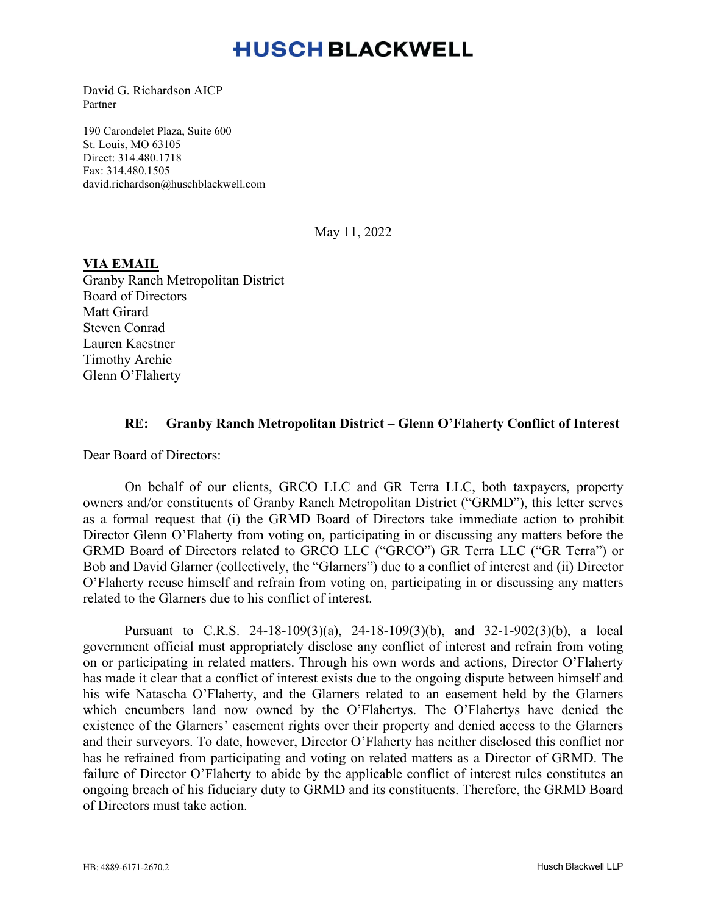# **HUSCH BLACKWELL**

David G. Richardson AICP Partner

190 Carondelet Plaza, Suite 600 St. Louis, MO 63105 Direct: 314.480.1718 Fax: 314.480.1505 david.richardson@huschblackwell.com

May 11, 2022

### **VIA EMAIL**

Granby Ranch Metropolitan District Board of Directors Matt Girard Steven Conrad Lauren Kaestner Timothy Archie Glenn O'Flaherty

### **RE: Granby Ranch Metropolitan District – Glenn O'Flaherty Conflict of Interest**

Dear Board of Directors:

On behalf of our clients, GRCO LLC and GR Terra LLC, both taxpayers, property owners and/or constituents of Granby Ranch Metropolitan District ("GRMD"), this letter serves as a formal request that (i) the GRMD Board of Directors take immediate action to prohibit Director Glenn O'Flaherty from voting on, participating in or discussing any matters before the GRMD Board of Directors related to GRCO LLC ("GRCO") GR Terra LLC ("GR Terra") or Bob and David Glarner (collectively, the "Glarners") due to a conflict of interest and (ii) Director O'Flaherty recuse himself and refrain from voting on, participating in or discussing any matters related to the Glarners due to his conflict of interest.

Pursuant to C.R.S. 24-18-109(3)(a), 24-18-109(3)(b), and 32-1-902(3)(b), a local government official must appropriately disclose any conflict of interest and refrain from voting on or participating in related matters. Through his own words and actions, Director O'Flaherty has made it clear that a conflict of interest exists due to the ongoing dispute between himself and his wife Natascha O'Flaherty, and the Glarners related to an easement held by the Glarners which encumbers land now owned by the O'Flahertys. The O'Flahertys have denied the existence of the Glarners' easement rights over their property and denied access to the Glarners and their surveyors. To date, however, Director O'Flaherty has neither disclosed this conflict nor has he refrained from participating and voting on related matters as a Director of GRMD. The failure of Director O'Flaherty to abide by the applicable conflict of interest rules constitutes an ongoing breach of his fiduciary duty to GRMD and its constituents. Therefore, the GRMD Board of Directors must take action.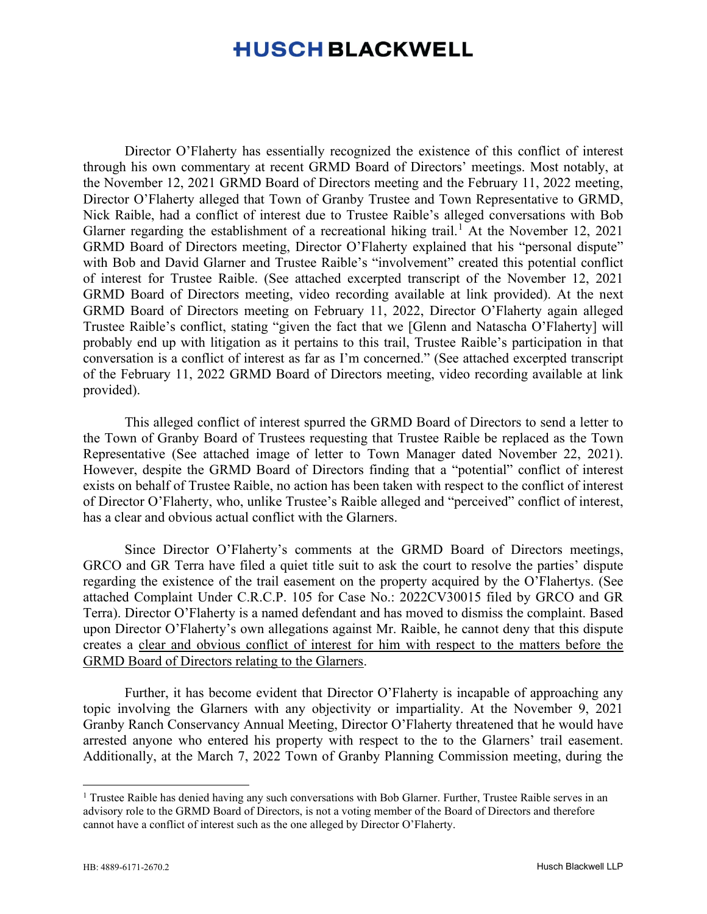# **HUSCH BLACKWELL**

Director O'Flaherty has essentially recognized the existence of this conflict of interest through his own commentary at recent GRMD Board of Directors' meetings. Most notably, at the November 12, 2021 GRMD Board of Directors meeting and the February 11, 2022 meeting, Director O'Flaherty alleged that Town of Granby Trustee and Town Representative to GRMD, Nick Raible, had a conflict of interest due to Trustee Raible's alleged conversations with Bob Glarner regarding the establishment of a recreational hiking trail.<sup>[1](#page-1-0)</sup> At the November 12, 2021 GRMD Board of Directors meeting, Director O'Flaherty explained that his "personal dispute" with Bob and David Glarner and Trustee Raible's "involvement" created this potential conflict of interest for Trustee Raible. (See attached excerpted transcript of the November 12, 2021 GRMD Board of Directors meeting, video recording available at link provided). At the next GRMD Board of Directors meeting on February 11, 2022, Director O'Flaherty again alleged Trustee Raible's conflict, stating "given the fact that we [Glenn and Natascha O'Flaherty] will probably end up with litigation as it pertains to this trail, Trustee Raible's participation in that conversation is a conflict of interest as far as I'm concerned." (See attached excerpted transcript of the February 11, 2022 GRMD Board of Directors meeting, video recording available at link provided).

This alleged conflict of interest spurred the GRMD Board of Directors to send a letter to the Town of Granby Board of Trustees requesting that Trustee Raible be replaced as the Town Representative (See attached image of letter to Town Manager dated November 22, 2021). However, despite the GRMD Board of Directors finding that a "potential" conflict of interest exists on behalf of Trustee Raible, no action has been taken with respect to the conflict of interest of Director O'Flaherty, who, unlike Trustee's Raible alleged and "perceived" conflict of interest, has a clear and obvious actual conflict with the Glarners.

Since Director O'Flaherty's comments at the GRMD Board of Directors meetings, GRCO and GR Terra have filed a quiet title suit to ask the court to resolve the parties' dispute regarding the existence of the trail easement on the property acquired by the O'Flahertys. (See attached Complaint Under C.R.C.P. 105 for Case No.: 2022CV30015 filed by GRCO and GR Terra). Director O'Flaherty is a named defendant and has moved to dismiss the complaint. Based upon Director O'Flaherty's own allegations against Mr. Raible, he cannot deny that this dispute creates a clear and obvious conflict of interest for him with respect to the matters before the GRMD Board of Directors relating to the Glarners.

Further, it has become evident that Director O'Flaherty is incapable of approaching any topic involving the Glarners with any objectivity or impartiality. At the November 9, 2021 Granby Ranch Conservancy Annual Meeting, Director O'Flaherty threatened that he would have arrested anyone who entered his property with respect to the to the Glarners' trail easement. Additionally, at the March 7, 2022 Town of Granby Planning Commission meeting, during the

<span id="page-1-0"></span><sup>&</sup>lt;sup>1</sup> Trustee Raible has denied having any such conversations with Bob Glarner. Further, Trustee Raible serves in an advisory role to the GRMD Board of Directors, is not a voting member of the Board of Directors and therefore cannot have a conflict of interest such as the one alleged by Director O'Flaherty.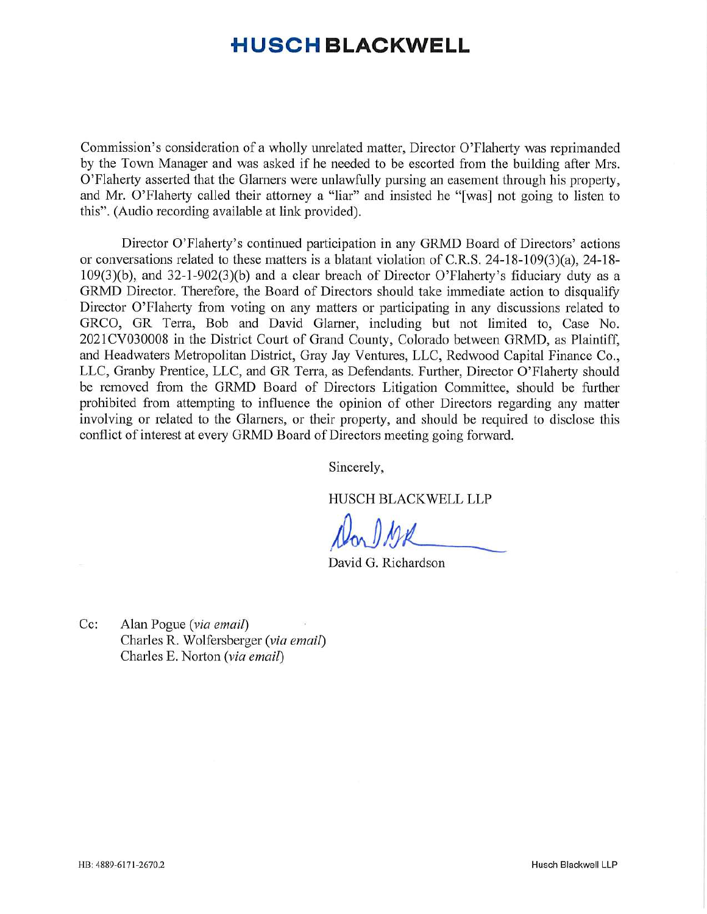# **■HUSCH BLACKWELL**

Commission's consideration of a wholly unrelated matter, Director O'Flaherty was reprimanded by the Town Manager and was asked if he needed to be escorted from the building after Mrs. O'Flaherty asserted that the Glarners were unlawfully pursing an easement through his property, and Mr. O'Flaherty called their attorney a "liar" and insisted he "[was] not going to listen to this". (Audio recording available at link provided).

Director O'Flaherty's continued participation in any GRMD Board of Directors' actions or conversations related to these matters is a blatant violation of C.R.S. 24-18-109(3)(a), 24-18- 109(3)(b), and 32-l-902(3)(b) and a clear breach of Director O'Flaherty's fiduciary duty as a GRMD Director. Therefore, the Board of Directors should take immediate action to disqualify Director O'Flaherty from voting on any matters or participating in any discussions related to GRCO, GR Terra, Bob and David Glarner, including but not limited to, Case No. 2021CV030008 in the District Court of Grand County, Colorado between GRMD, as Plaintiff, and Headwaters Metropolitan District, Gray Jay Ventures, LLC, Redwood Capital Finance Co., LLC, Granby Prentice, LLC, and GR Terra, as Defendants. Further, Director O'Flaherty should be removed from the GRMD Board of Directors Litigation Committee, should be further prohibited from attempting to influence the opinion of other Directors regarding any matter involving or related to the Glarners, or their property, and should be required to disclose this conflict of interest at every GRMD Board of Directors meeting going forward.

Sincerely,

HUSCH BLACKWELL LLP

*Don J MK* 

David G. Richardson

Cc: Alan Pogue *{via email)* Charles R. Wolfersberger *{via email*) Charles E. Norton *{via email)*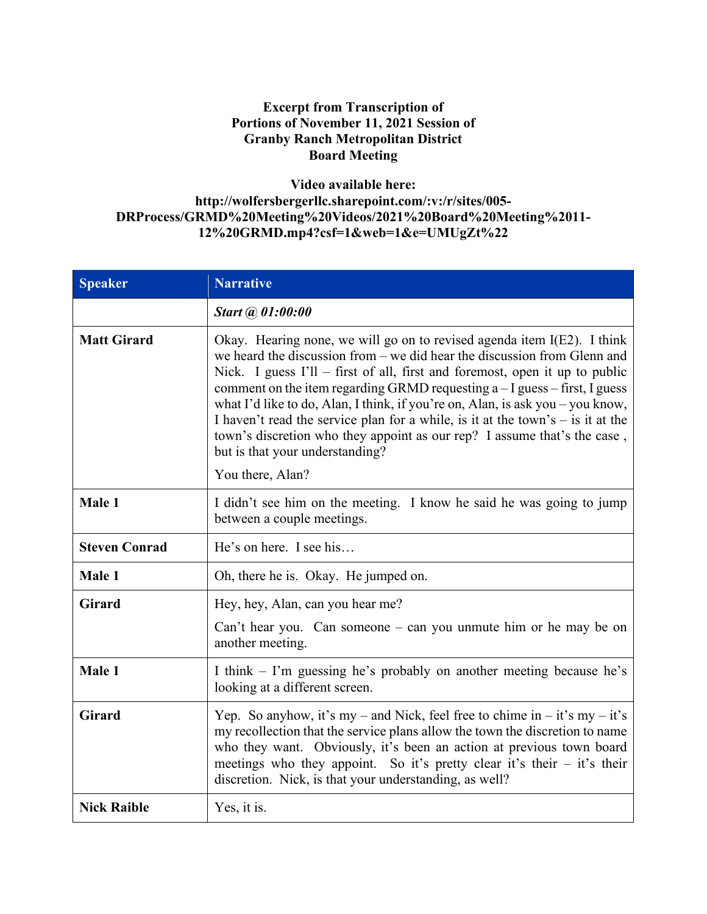## **Excerpt from Transcription of Portions of November 11, 2021 Session of Granby Ranch Metropolitan District Board Meeting**

## **Video available here: http://wolfersbergerllc.sharepoint.com/:v:/r/sites/005- DRProcess/GRMD%20Meeting%20Videos/2021%20Board%20Meeting%2011- 12%20GRMD.mp4?csf=1&web=1&e=UMUgZt%22**

| <b>Speaker</b>       | <b>Narrative</b>                                                                                                                                                                                                                                                                                                                                                                                                                                                                                                                                                                                                                 |
|----------------------|----------------------------------------------------------------------------------------------------------------------------------------------------------------------------------------------------------------------------------------------------------------------------------------------------------------------------------------------------------------------------------------------------------------------------------------------------------------------------------------------------------------------------------------------------------------------------------------------------------------------------------|
|                      | Start @ 01:00:00                                                                                                                                                                                                                                                                                                                                                                                                                                                                                                                                                                                                                 |
| <b>Matt Girard</b>   | Okay. Hearing none, we will go on to revised agenda item I(E2). I think<br>we heard the discussion from $-$ we did hear the discussion from Glenn and<br>Nick. I guess $I'll$ – first of all, first and foremost, open it up to public<br>comment on the item regarding GRMD requesting $a - I$ guess – first, I guess<br>what I'd like to do, Alan, I think, if you're on, Alan, is ask you – you know,<br>I haven't read the service plan for a while, is it at the town's $-$ is it at the<br>town's discretion who they appoint as our rep? I assume that's the case,<br>but is that your understanding?<br>You there, Alan? |
| Male 1               | I didn't see him on the meeting. I know he said he was going to jump<br>between a couple meetings.                                                                                                                                                                                                                                                                                                                                                                                                                                                                                                                               |
| <b>Steven Conrad</b> | He's on here. I see his                                                                                                                                                                                                                                                                                                                                                                                                                                                                                                                                                                                                          |
| Male 1               | Oh, there he is. Okay. He jumped on.                                                                                                                                                                                                                                                                                                                                                                                                                                                                                                                                                                                             |
| <b>Girard</b>        | Hey, hey, Alan, can you hear me?<br>Can't hear you. Can someone – can you unmute him or he may be on<br>another meeting.                                                                                                                                                                                                                                                                                                                                                                                                                                                                                                         |
| Male 1               | I think – I'm guessing he's probably on another meeting because he's<br>looking at a different screen.                                                                                                                                                                                                                                                                                                                                                                                                                                                                                                                           |
| <b>Girard</b>        | Yep. So anyhow, it's my – and Nick, feel free to chime in – it's my – it's<br>my recollection that the service plans allow the town the discretion to name<br>who they want. Obviously, it's been an action at previous town board<br>meetings who they appoint. So it's pretty clear it's their $-$ it's their<br>discretion. Nick, is that your understanding, as well?                                                                                                                                                                                                                                                        |
| <b>Nick Raible</b>   | Yes, it is.                                                                                                                                                                                                                                                                                                                                                                                                                                                                                                                                                                                                                      |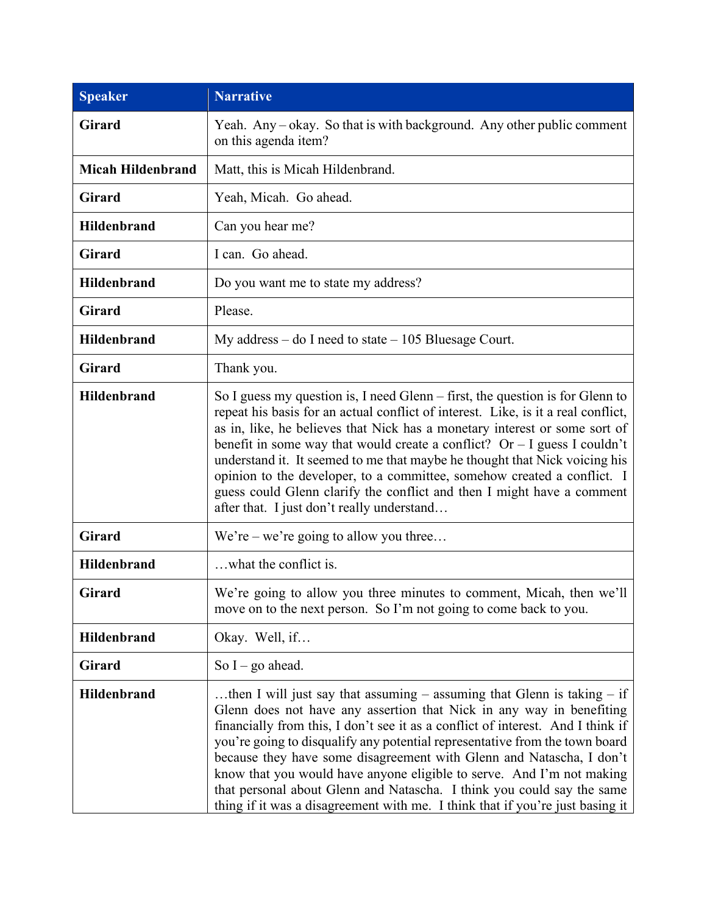| <b>Speaker</b>           | <b>Narrative</b>                                                                                                                                                                                                                                                                                                                                                                                                                                                                                                                                                                                                                  |  |
|--------------------------|-----------------------------------------------------------------------------------------------------------------------------------------------------------------------------------------------------------------------------------------------------------------------------------------------------------------------------------------------------------------------------------------------------------------------------------------------------------------------------------------------------------------------------------------------------------------------------------------------------------------------------------|--|
| <b>Girard</b>            | Yeah. Any – okay. So that is with background. Any other public comment<br>on this agenda item?                                                                                                                                                                                                                                                                                                                                                                                                                                                                                                                                    |  |
| <b>Micah Hildenbrand</b> | Matt, this is Micah Hildenbrand.                                                                                                                                                                                                                                                                                                                                                                                                                                                                                                                                                                                                  |  |
| <b>Girard</b>            | Yeah, Micah. Go ahead.                                                                                                                                                                                                                                                                                                                                                                                                                                                                                                                                                                                                            |  |
| <b>Hildenbrand</b>       | Can you hear me?                                                                                                                                                                                                                                                                                                                                                                                                                                                                                                                                                                                                                  |  |
| Girard                   | I can. Go ahead.                                                                                                                                                                                                                                                                                                                                                                                                                                                                                                                                                                                                                  |  |
| <b>Hildenbrand</b>       | Do you want me to state my address?                                                                                                                                                                                                                                                                                                                                                                                                                                                                                                                                                                                               |  |
| <b>Girard</b>            | Please.                                                                                                                                                                                                                                                                                                                                                                                                                                                                                                                                                                                                                           |  |
| <b>Hildenbrand</b>       | My address – do I need to state $-105$ Bluesage Court.                                                                                                                                                                                                                                                                                                                                                                                                                                                                                                                                                                            |  |
| Girard                   | Thank you.                                                                                                                                                                                                                                                                                                                                                                                                                                                                                                                                                                                                                        |  |
| <b>Hildenbrand</b>       | So I guess my question is, I need Glenn $-$ first, the question is for Glenn to<br>repeat his basis for an actual conflict of interest. Like, is it a real conflict,<br>as in, like, he believes that Nick has a monetary interest or some sort of<br>benefit in some way that would create a conflict? Or $-$ I guess I couldn't<br>understand it. It seemed to me that maybe he thought that Nick voicing his<br>opinion to the developer, to a committee, somehow created a conflict. I<br>guess could Glenn clarify the conflict and then I might have a comment<br>after that. I just don't really understand                |  |
| <b>Girard</b>            | We're – we're going to allow you three                                                                                                                                                                                                                                                                                                                                                                                                                                                                                                                                                                                            |  |
| <b>Hildenbrand</b>       | what the conflict is.                                                                                                                                                                                                                                                                                                                                                                                                                                                                                                                                                                                                             |  |
| <b>Girard</b>            | We're going to allow you three minutes to comment, Micah, then we'll<br>move on to the next person. So I'm not going to come back to you.                                                                                                                                                                                                                                                                                                                                                                                                                                                                                         |  |
| <b>Hildenbrand</b>       | Okay. Well, if                                                                                                                                                                                                                                                                                                                                                                                                                                                                                                                                                                                                                    |  |
| <b>Girard</b>            | So $I - go$ ahead.                                                                                                                                                                                                                                                                                                                                                                                                                                                                                                                                                                                                                |  |
| <b>Hildenbrand</b>       | then I will just say that assuming $-$ assuming that Glenn is taking $-$ if<br>Glenn does not have any assertion that Nick in any way in benefiting<br>financially from this, I don't see it as a conflict of interest. And I think if<br>you're going to disqualify any potential representative from the town board<br>because they have some disagreement with Glenn and Natascha, I don't<br>know that you would have anyone eligible to serve. And I'm not making<br>that personal about Glenn and Natascha. I think you could say the same<br>thing if it was a disagreement with me. I think that if you're just basing it |  |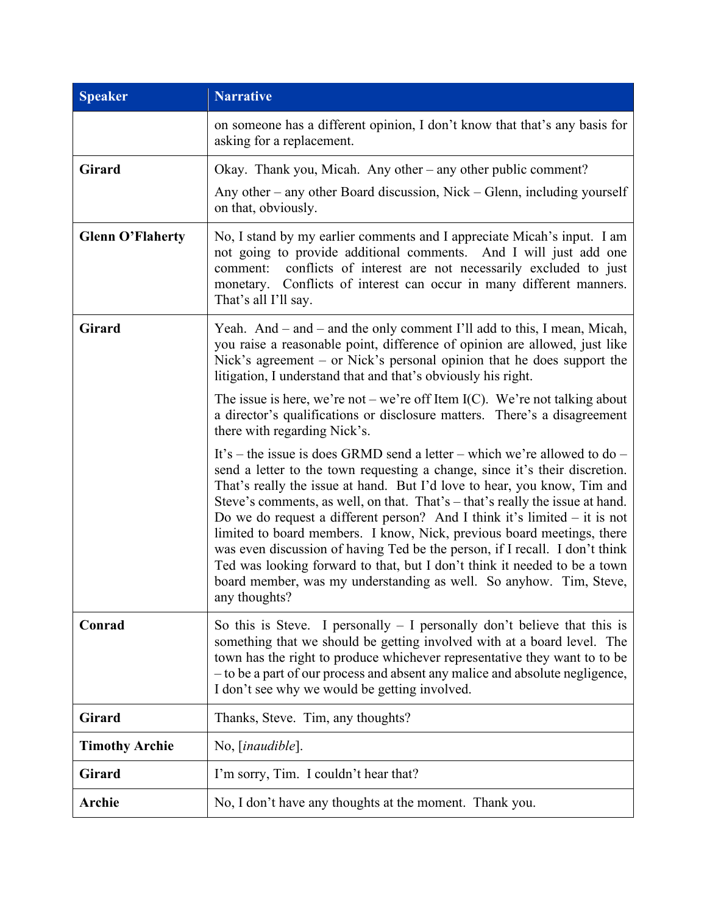| <b>Speaker</b>          | <b>Narrative</b>                                                                                                                                                                                                                                                                                                                                                                                                                                                                                                                                                                                                                                                                                                                  |  |
|-------------------------|-----------------------------------------------------------------------------------------------------------------------------------------------------------------------------------------------------------------------------------------------------------------------------------------------------------------------------------------------------------------------------------------------------------------------------------------------------------------------------------------------------------------------------------------------------------------------------------------------------------------------------------------------------------------------------------------------------------------------------------|--|
|                         | on someone has a different opinion, I don't know that that's any basis for<br>asking for a replacement.                                                                                                                                                                                                                                                                                                                                                                                                                                                                                                                                                                                                                           |  |
| <b>Girard</b>           | Okay. Thank you, Micah. Any other – any other public comment?                                                                                                                                                                                                                                                                                                                                                                                                                                                                                                                                                                                                                                                                     |  |
|                         | Any other – any other Board discussion, Nick – Glenn, including yourself<br>on that, obviously.                                                                                                                                                                                                                                                                                                                                                                                                                                                                                                                                                                                                                                   |  |
| <b>Glenn O'Flaherty</b> | No, I stand by my earlier comments and I appreciate Micah's input. I am<br>not going to provide additional comments. And I will just add one<br>conflicts of interest are not necessarily excluded to just<br>comment:<br>monetary. Conflicts of interest can occur in many different manners.<br>That's all I'll say.                                                                                                                                                                                                                                                                                                                                                                                                            |  |
| <b>Girard</b>           | Yeah. And – and – and the only comment I'll add to this, I mean, Micah,<br>you raise a reasonable point, difference of opinion are allowed, just like<br>Nick's agreement – or Nick's personal opinion that he does support the<br>litigation, I understand that and that's obviously his right.                                                                                                                                                                                                                                                                                                                                                                                                                                  |  |
|                         | The issue is here, we're not – we're off Item I(C). We're not talking about<br>a director's qualifications or disclosure matters. There's a disagreement<br>there with regarding Nick's.                                                                                                                                                                                                                                                                                                                                                                                                                                                                                                                                          |  |
|                         | It's – the issue is does GRMD send a letter – which we're allowed to do –<br>send a letter to the town requesting a change, since it's their discretion.<br>That's really the issue at hand. But I'd love to hear, you know, Tim and<br>Steve's comments, as well, on that. That's – that's really the issue at hand.<br>Do we do request a different person? And I think it's limited $-$ it is not<br>limited to board members. I know, Nick, previous board meetings, there<br>was even discussion of having Ted be the person, if I recall. I don't think<br>Ted was looking forward to that, but I don't think it needed to be a town<br>board member, was my understanding as well. So anyhow. Tim, Steve,<br>any thoughts? |  |
| Conrad                  | So this is Steve. I personally $-$ I personally don't believe that this is<br>something that we should be getting involved with at a board level. The<br>town has the right to produce whichever representative they want to to be<br>- to be a part of our process and absent any malice and absolute negligence,<br>I don't see why we would be getting involved.                                                                                                                                                                                                                                                                                                                                                               |  |
| <b>Girard</b>           | Thanks, Steve. Tim, any thoughts?                                                                                                                                                                                                                                                                                                                                                                                                                                                                                                                                                                                                                                                                                                 |  |
| <b>Timothy Archie</b>   | No, [ <i>inaudible</i> ].                                                                                                                                                                                                                                                                                                                                                                                                                                                                                                                                                                                                                                                                                                         |  |
| <b>Girard</b>           | I'm sorry, Tim. I couldn't hear that?                                                                                                                                                                                                                                                                                                                                                                                                                                                                                                                                                                                                                                                                                             |  |
| Archie                  | No, I don't have any thoughts at the moment. Thank you.                                                                                                                                                                                                                                                                                                                                                                                                                                                                                                                                                                                                                                                                           |  |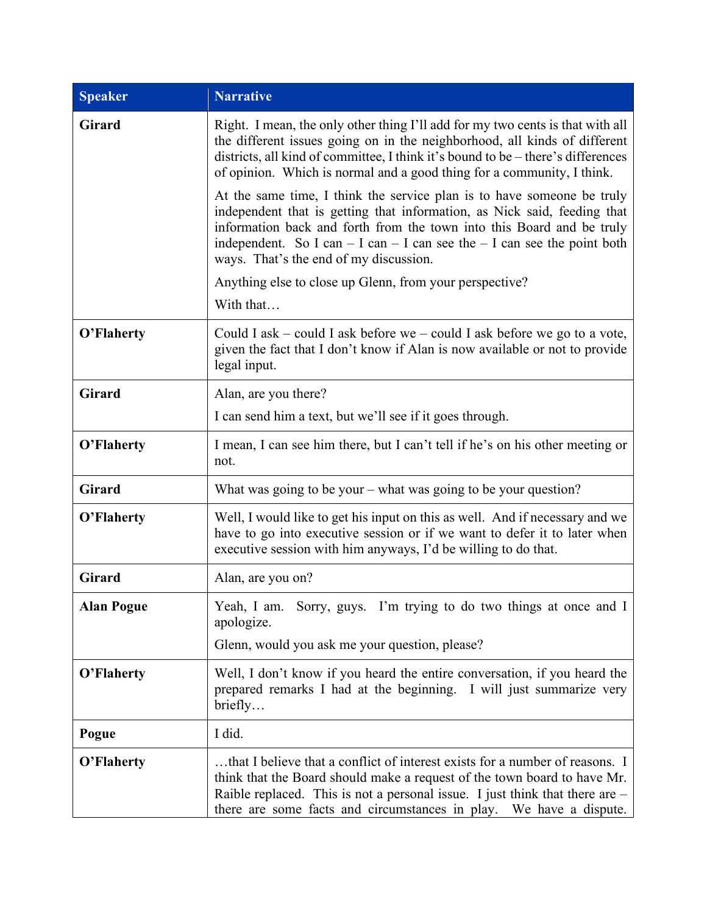| <b>Speaker</b>    | <b>Narrative</b>                                                                                                                                                                                                                                                                                                                                        |  |
|-------------------|---------------------------------------------------------------------------------------------------------------------------------------------------------------------------------------------------------------------------------------------------------------------------------------------------------------------------------------------------------|--|
| <b>Girard</b>     | Right. I mean, the only other thing I'll add for my two cents is that with all<br>the different issues going on in the neighborhood, all kinds of different<br>districts, all kind of committee, I think it's bound to be – there's differences<br>of opinion. Which is normal and a good thing for a community, I think.                               |  |
|                   | At the same time, I think the service plan is to have someone be truly<br>independent that is getting that information, as Nick said, feeding that<br>information back and forth from the town into this Board and be truly<br>independent. So I can $-$ I can $-$ I can see the $-$ I can see the point both<br>ways. That's the end of my discussion. |  |
|                   | Anything else to close up Glenn, from your perspective?                                                                                                                                                                                                                                                                                                 |  |
|                   | With that                                                                                                                                                                                                                                                                                                                                               |  |
| O'Flaherty        | Could I ask – could I ask before we – could I ask before we go to a vote,<br>given the fact that I don't know if Alan is now available or not to provide<br>legal input.                                                                                                                                                                                |  |
| <b>Girard</b>     | Alan, are you there?                                                                                                                                                                                                                                                                                                                                    |  |
|                   | I can send him a text, but we'll see if it goes through.                                                                                                                                                                                                                                                                                                |  |
| O'Flaherty        | I mean, I can see him there, but I can't tell if he's on his other meeting or<br>not.                                                                                                                                                                                                                                                                   |  |
| <b>Girard</b>     | What was going to be your – what was going to be your question?                                                                                                                                                                                                                                                                                         |  |
| O'Flaherty        | Well, I would like to get his input on this as well. And if necessary and we<br>have to go into executive session or if we want to defer it to later when<br>executive session with him anyways, I'd be willing to do that.                                                                                                                             |  |
| <b>Girard</b>     | Alan, are you on?                                                                                                                                                                                                                                                                                                                                       |  |
| <b>Alan Pogue</b> | Yeah, I am. Sorry, guys. I'm trying to do two things at once and I<br>apologize.                                                                                                                                                                                                                                                                        |  |
|                   | Glenn, would you ask me your question, please?                                                                                                                                                                                                                                                                                                          |  |
| O'Flaherty        | Well, I don't know if you heard the entire conversation, if you heard the<br>prepared remarks I had at the beginning. I will just summarize very<br>briefly                                                                                                                                                                                             |  |
| Pogue             | I did.                                                                                                                                                                                                                                                                                                                                                  |  |
| O'Flaherty        | that I believe that a conflict of interest exists for a number of reasons. I<br>think that the Board should make a request of the town board to have Mr.<br>Raible replaced. This is not a personal issue. I just think that there are $-$<br>there are some facts and circumstances in play. We have a dispute.                                        |  |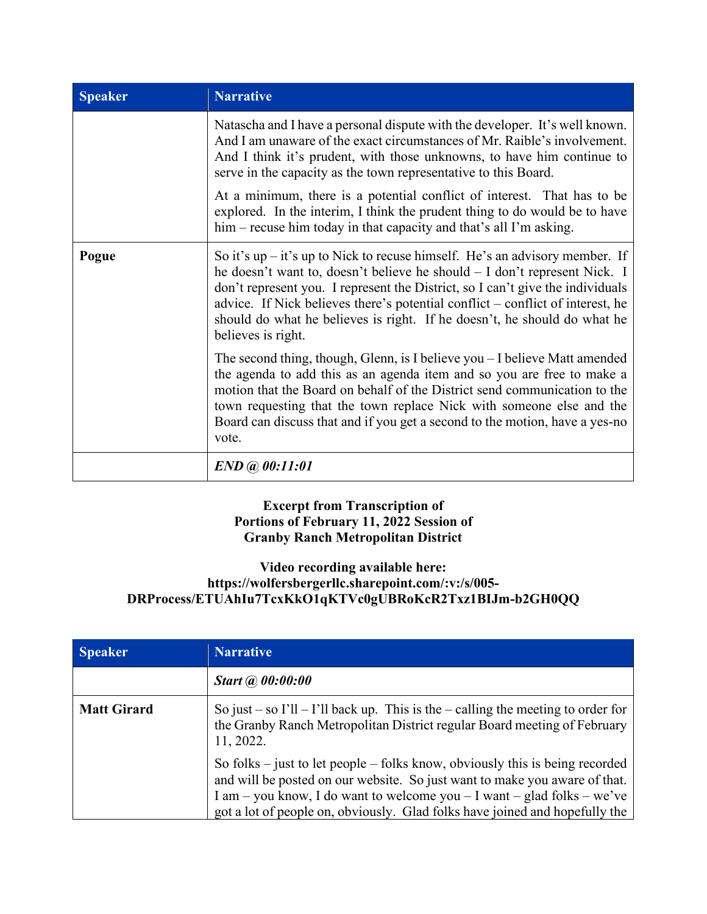| <b>Speaker</b> | <b>Narrative</b>                                                                                                                                                                                                                                                                                                                                                                                                                  |
|----------------|-----------------------------------------------------------------------------------------------------------------------------------------------------------------------------------------------------------------------------------------------------------------------------------------------------------------------------------------------------------------------------------------------------------------------------------|
|                | Natascha and I have a personal dispute with the developer. It's well known.<br>And I am unaware of the exact circumstances of Mr. Raible's involvement.<br>And I think it's prudent, with those unknowns, to have him continue to<br>serve in the capacity as the town representative to this Board.                                                                                                                              |
|                | At a minimum, there is a potential conflict of interest. That has to be<br>explored. In the interim, I think the prudent thing to do would be to have<br>him – recuse him today in that capacity and that's all I'm asking.                                                                                                                                                                                                       |
| Pogue          | So it's $up - it$ 's up to Nick to recuse himself. He's an advisory member. If<br>he doesn't want to, doesn't believe he should – I don't represent Nick. I<br>don't represent you. I represent the District, so I can't give the individuals<br>advice. If Nick believes there's potential conflict – conflict of interest, he<br>should do what he believes is right. If he doesn't, he should do what he<br>believes is right. |
|                | The second thing, though, Glenn, is I believe you - I believe Matt amended<br>the agenda to add this as an agenda item and so you are free to make a<br>motion that the Board on behalf of the District send communication to the<br>town requesting that the town replace Nick with someone else and the<br>Board can discuss that and if you get a second to the motion, have a yes-no<br>vote.                                 |
|                | $END$ @ 00:11:01                                                                                                                                                                                                                                                                                                                                                                                                                  |

# **Excerpt from Transcription of Portions of February 11, 2022 Session of Granby Ranch Metropolitan District**

# **Video recording available here: https://wolfersbergerllc.sharepoint.com/:v:/s/005- DRProcess/ETUAhIu7TcxKkO1qKTVc0gUBRoKcR2Txz1BIJm-b2GH0QQ**

| <b>Speaker</b>     | <b>Narrative</b>                                                                                                                                                                                                                                                                                                         |
|--------------------|--------------------------------------------------------------------------------------------------------------------------------------------------------------------------------------------------------------------------------------------------------------------------------------------------------------------------|
|                    | <b>Start</b> @ 00:00:00                                                                                                                                                                                                                                                                                                  |
| <b>Matt Girard</b> | So just – so $\Gamma$ ll – $\Gamma$ ll back up. This is the – calling the meeting to order for<br>the Granby Ranch Metropolitan District regular Board meeting of February<br>11, 2022.                                                                                                                                  |
|                    | So folks $-$ just to let people $-$ folks know, obviously this is being recorded<br>and will be posted on our website. So just want to make you aware of that.<br>I am – you know, I do want to welcome you – I want – glad folks – we've<br>got a lot of people on, obviously. Glad folks have joined and hopefully the |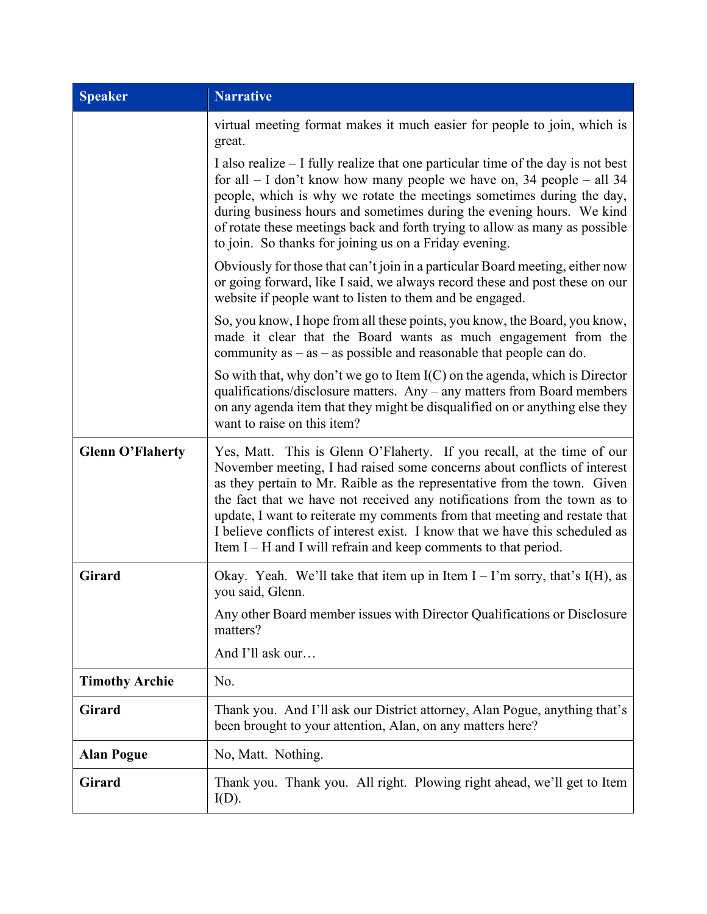| <b>Speaker</b>          | <b>Narrative</b>                                                                                                                                                                                                                                                                                                                                                                                                                                                                                                                              |  |
|-------------------------|-----------------------------------------------------------------------------------------------------------------------------------------------------------------------------------------------------------------------------------------------------------------------------------------------------------------------------------------------------------------------------------------------------------------------------------------------------------------------------------------------------------------------------------------------|--|
|                         | virtual meeting format makes it much easier for people to join, which is<br>great.                                                                                                                                                                                                                                                                                                                                                                                                                                                            |  |
|                         | I also realize $-$ I fully realize that one particular time of the day is not best<br>for all $-$ I don't know how many people we have on, 34 people $-$ all 34<br>people, which is why we rotate the meetings sometimes during the day,<br>during business hours and sometimes during the evening hours. We kind<br>of rotate these meetings back and forth trying to allow as many as possible<br>to join. So thanks for joining us on a Friday evening.                                                                                    |  |
|                         | Obviously for those that can't join in a particular Board meeting, either now<br>or going forward, like I said, we always record these and post these on our<br>website if people want to listen to them and be engaged.                                                                                                                                                                                                                                                                                                                      |  |
|                         | So, you know, I hope from all these points, you know, the Board, you know,<br>made it clear that the Board wants as much engagement from the<br>community as $-$ as $-$ as possible and reasonable that people can do.                                                                                                                                                                                                                                                                                                                        |  |
|                         | So with that, why don't we go to Item $I(C)$ on the agenda, which is Director<br>qualifications/disclosure matters. Any - any matters from Board members<br>on any agenda item that they might be disqualified on or anything else they<br>want to raise on this item?                                                                                                                                                                                                                                                                        |  |
| <b>Glenn O'Flaherty</b> | Yes, Matt. This is Glenn O'Flaherty. If you recall, at the time of our<br>November meeting, I had raised some concerns about conflicts of interest<br>as they pertain to Mr. Raible as the representative from the town. Given<br>the fact that we have not received any notifications from the town as to<br>update, I want to reiterate my comments from that meeting and restate that<br>I believe conflicts of interest exist. I know that we have this scheduled as<br>Item $I - H$ and I will refrain and keep comments to that period. |  |
| <b>Girard</b>           | Okay. Yeah. We'll take that item up in Item $I - I'm$ sorry, that's I(H), as<br>you said, Glenn.                                                                                                                                                                                                                                                                                                                                                                                                                                              |  |
|                         | Any other Board member issues with Director Qualifications or Disclosure<br>matters?                                                                                                                                                                                                                                                                                                                                                                                                                                                          |  |
|                         | And I'll ask our                                                                                                                                                                                                                                                                                                                                                                                                                                                                                                                              |  |
| <b>Timothy Archie</b>   | No.                                                                                                                                                                                                                                                                                                                                                                                                                                                                                                                                           |  |
| <b>Girard</b>           | Thank you. And I'll ask our District attorney, Alan Pogue, anything that's<br>been brought to your attention, Alan, on any matters here?                                                                                                                                                                                                                                                                                                                                                                                                      |  |
| <b>Alan Pogue</b>       | No, Matt. Nothing.                                                                                                                                                                                                                                                                                                                                                                                                                                                                                                                            |  |
| <b>Girard</b>           | Thank you. Thank you. All right. Plowing right ahead, we'll get to Item<br>$I(D)$ .                                                                                                                                                                                                                                                                                                                                                                                                                                                           |  |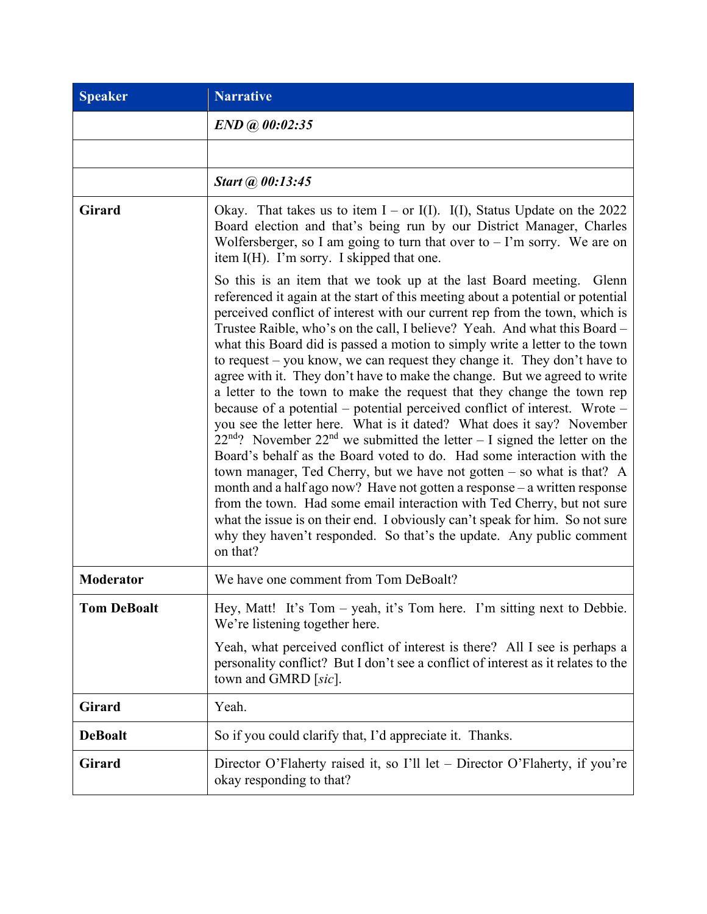| <b>Speaker</b>     | <b>Narrative</b>                                                                                                                                                                                                                                                                                                                                                                                                                                                                                                                                                                                                                                                                                                                                                                                                                                                                                                                                                                                                                                                                                                                                                                                                                                                                                                                                              |  |
|--------------------|---------------------------------------------------------------------------------------------------------------------------------------------------------------------------------------------------------------------------------------------------------------------------------------------------------------------------------------------------------------------------------------------------------------------------------------------------------------------------------------------------------------------------------------------------------------------------------------------------------------------------------------------------------------------------------------------------------------------------------------------------------------------------------------------------------------------------------------------------------------------------------------------------------------------------------------------------------------------------------------------------------------------------------------------------------------------------------------------------------------------------------------------------------------------------------------------------------------------------------------------------------------------------------------------------------------------------------------------------------------|--|
|                    | $END$ @ 00:02:35                                                                                                                                                                                                                                                                                                                                                                                                                                                                                                                                                                                                                                                                                                                                                                                                                                                                                                                                                                                                                                                                                                                                                                                                                                                                                                                                              |  |
|                    |                                                                                                                                                                                                                                                                                                                                                                                                                                                                                                                                                                                                                                                                                                                                                                                                                                                                                                                                                                                                                                                                                                                                                                                                                                                                                                                                                               |  |
|                    | Start @ 00:13:45                                                                                                                                                                                                                                                                                                                                                                                                                                                                                                                                                                                                                                                                                                                                                                                                                                                                                                                                                                                                                                                                                                                                                                                                                                                                                                                                              |  |
| Girard             | Okay. That takes us to item $I - or I(I)$ . I(I), Status Update on the 2022<br>Board election and that's being run by our District Manager, Charles<br>Wolfersberger, so I am going to turn that over to $-$ I'm sorry. We are on<br>item I(H). I'm sorry. I skipped that one.                                                                                                                                                                                                                                                                                                                                                                                                                                                                                                                                                                                                                                                                                                                                                                                                                                                                                                                                                                                                                                                                                |  |
|                    | So this is an item that we took up at the last Board meeting. Glenn<br>referenced it again at the start of this meeting about a potential or potential<br>perceived conflict of interest with our current rep from the town, which is<br>Trustee Raible, who's on the call, I believe? Yeah. And what this Board -<br>what this Board did is passed a motion to simply write a letter to the town<br>to request - you know, we can request they change it. They don't have to<br>agree with it. They don't have to make the change. But we agreed to write<br>a letter to the town to make the request that they change the town rep<br>because of a potential – potential perceived conflict of interest. Wrote –<br>you see the letter here. What is it dated? What does it say? November<br>$22nd$ ? November $22nd$ we submitted the letter - I signed the letter on the<br>Board's behalf as the Board voted to do. Had some interaction with the<br>town manager, Ted Cherry, but we have not gotten $-$ so what is that? A<br>month and a half ago now? Have not gotten a response – a written response<br>from the town. Had some email interaction with Ted Cherry, but not sure<br>what the issue is on their end. I obviously can't speak for him. So not sure<br>why they haven't responded. So that's the update. Any public comment<br>on that? |  |
| <b>Moderator</b>   | We have one comment from Tom DeBoalt?                                                                                                                                                                                                                                                                                                                                                                                                                                                                                                                                                                                                                                                                                                                                                                                                                                                                                                                                                                                                                                                                                                                                                                                                                                                                                                                         |  |
| <b>Tom DeBoalt</b> | Hey, Matt! It's Tom – yeah, it's Tom here. I'm sitting next to Debbie.<br>We're listening together here.                                                                                                                                                                                                                                                                                                                                                                                                                                                                                                                                                                                                                                                                                                                                                                                                                                                                                                                                                                                                                                                                                                                                                                                                                                                      |  |
|                    | Yeah, what perceived conflict of interest is there? All I see is perhaps a<br>personality conflict? But I don't see a conflict of interest as it relates to the<br>town and GMRD [sic].                                                                                                                                                                                                                                                                                                                                                                                                                                                                                                                                                                                                                                                                                                                                                                                                                                                                                                                                                                                                                                                                                                                                                                       |  |
| <b>Girard</b>      | Yeah.                                                                                                                                                                                                                                                                                                                                                                                                                                                                                                                                                                                                                                                                                                                                                                                                                                                                                                                                                                                                                                                                                                                                                                                                                                                                                                                                                         |  |
| <b>DeBoalt</b>     | So if you could clarify that, I'd appreciate it. Thanks.                                                                                                                                                                                                                                                                                                                                                                                                                                                                                                                                                                                                                                                                                                                                                                                                                                                                                                                                                                                                                                                                                                                                                                                                                                                                                                      |  |
| <b>Girard</b>      | Director O'Flaherty raised it, so I'll let – Director O'Flaherty, if you're<br>okay responding to that?                                                                                                                                                                                                                                                                                                                                                                                                                                                                                                                                                                                                                                                                                                                                                                                                                                                                                                                                                                                                                                                                                                                                                                                                                                                       |  |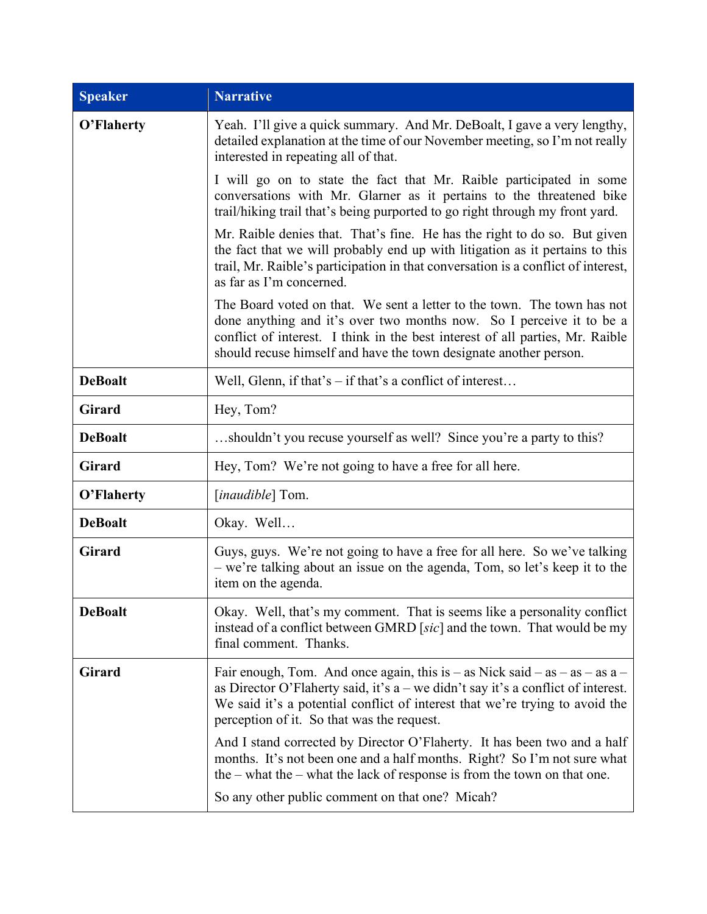| <b>Speaker</b> | <b>Narrative</b>                                                                                                                                                                                                                                                                                      |  |
|----------------|-------------------------------------------------------------------------------------------------------------------------------------------------------------------------------------------------------------------------------------------------------------------------------------------------------|--|
| O'Flaherty     | Yeah. I'll give a quick summary. And Mr. DeBoalt, I gave a very lengthy,<br>detailed explanation at the time of our November meeting, so I'm not really<br>interested in repeating all of that.                                                                                                       |  |
|                | I will go on to state the fact that Mr. Raible participated in some<br>conversations with Mr. Glarner as it pertains to the threatened bike<br>trail/hiking trail that's being purported to go right through my front yard.                                                                           |  |
|                | Mr. Raible denies that. That's fine. He has the right to do so. But given<br>the fact that we will probably end up with litigation as it pertains to this<br>trail, Mr. Raible's participation in that conversation is a conflict of interest,<br>as far as I'm concerned.                            |  |
|                | The Board voted on that. We sent a letter to the town. The town has not<br>done anything and it's over two months now. So I perceive it to be a<br>conflict of interest. I think in the best interest of all parties, Mr. Raible<br>should recuse himself and have the town designate another person. |  |
| <b>DeBoalt</b> | Well, Glenn, if that's $-$ if that's a conflict of interest                                                                                                                                                                                                                                           |  |
| <b>Girard</b>  | Hey, Tom?                                                                                                                                                                                                                                                                                             |  |
| <b>DeBoalt</b> | shouldn't you recuse yourself as well? Since you're a party to this?                                                                                                                                                                                                                                  |  |
| Girard         | Hey, Tom? We're not going to have a free for all here.                                                                                                                                                                                                                                                |  |
| O'Flaherty     | [ <i>inaudible</i> ] Tom.                                                                                                                                                                                                                                                                             |  |
| <b>DeBoalt</b> | Okay. Well                                                                                                                                                                                                                                                                                            |  |
| <b>Girard</b>  | Guys, guys. We're not going to have a free for all here. So we've talking<br>- we're talking about an issue on the agenda, Tom, so let's keep it to the<br>item on the agenda.                                                                                                                        |  |
| <b>DeBoalt</b> | Okay. Well, that's my comment. That is seems like a personality conflict<br>instead of a conflict between GMRD [sic] and the town. That would be my<br>final comment. Thanks.                                                                                                                         |  |
| <b>Girard</b>  | Fair enough, Tom. And once again, this is – as Nick said – as – as – as $a$ –<br>as Director O'Flaherty said, it's $a$ – we didn't say it's a conflict of interest.<br>We said it's a potential conflict of interest that we're trying to avoid the<br>perception of it. So that was the request.     |  |
|                | And I stand corrected by Director O'Flaherty. It has been two and a half<br>months. It's not been one and a half months. Right? So I'm not sure what<br>the $-$ what the $-$ what the lack of response is from the town on that one.                                                                  |  |
|                | So any other public comment on that one? Micah?                                                                                                                                                                                                                                                       |  |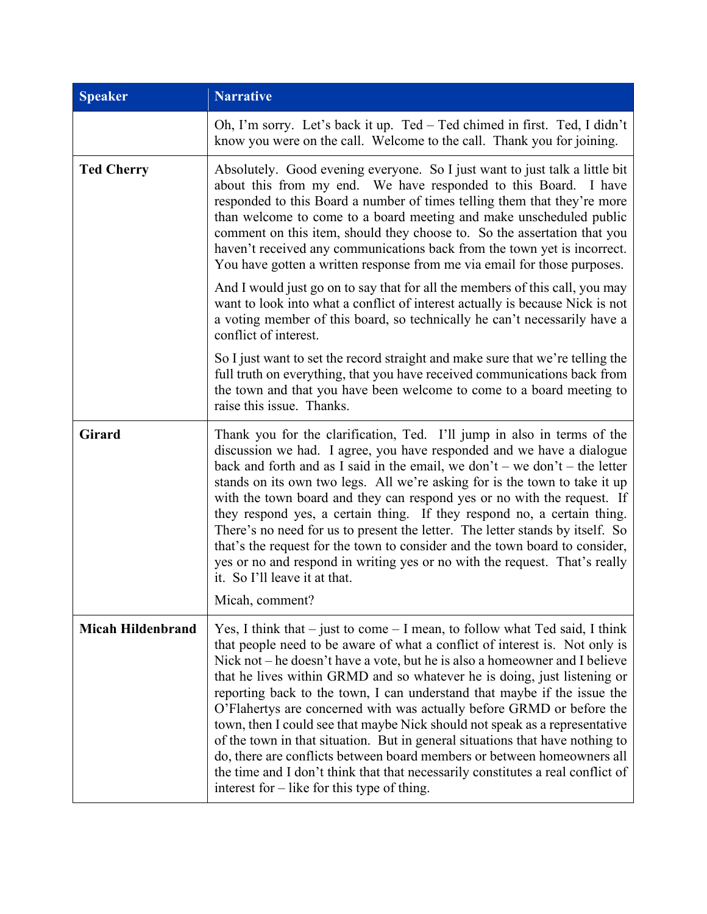| <b>Speaker</b>           | <b>Narrative</b>                                                                                                                                                                                                                                                                                                                                                                                                                                                                                                                                                                                                                                                                                                                                                                                                                                                |  |  |
|--------------------------|-----------------------------------------------------------------------------------------------------------------------------------------------------------------------------------------------------------------------------------------------------------------------------------------------------------------------------------------------------------------------------------------------------------------------------------------------------------------------------------------------------------------------------------------------------------------------------------------------------------------------------------------------------------------------------------------------------------------------------------------------------------------------------------------------------------------------------------------------------------------|--|--|
|                          | Oh, I'm sorry. Let's back it up. Ted - Ted chimed in first. Ted, I didn't<br>know you were on the call. Welcome to the call. Thank you for joining.                                                                                                                                                                                                                                                                                                                                                                                                                                                                                                                                                                                                                                                                                                             |  |  |
| <b>Ted Cherry</b>        | Absolutely. Good evening everyone. So I just want to just talk a little bit<br>about this from my end. We have responded to this Board. I have<br>responded to this Board a number of times telling them that they're more<br>than welcome to come to a board meeting and make unscheduled public<br>comment on this item, should they choose to. So the assertation that you<br>haven't received any communications back from the town yet is incorrect.<br>You have gotten a written response from me via email for those purposes.                                                                                                                                                                                                                                                                                                                           |  |  |
|                          | And I would just go on to say that for all the members of this call, you may<br>want to look into what a conflict of interest actually is because Nick is not<br>a voting member of this board, so technically he can't necessarily have a<br>conflict of interest.                                                                                                                                                                                                                                                                                                                                                                                                                                                                                                                                                                                             |  |  |
|                          | So I just want to set the record straight and make sure that we're telling the<br>full truth on everything, that you have received communications back from<br>the town and that you have been welcome to come to a board meeting to<br>raise this issue. Thanks.                                                                                                                                                                                                                                                                                                                                                                                                                                                                                                                                                                                               |  |  |
| <b>Girard</b>            | Thank you for the clarification, Ted. I'll jump in also in terms of the<br>discussion we had. I agree, you have responded and we have a dialogue<br>back and forth and as I said in the email, we don't – we don't – the letter<br>stands on its own two legs. All we're asking for is the town to take it up<br>with the town board and they can respond yes or no with the request. If<br>they respond yes, a certain thing. If they respond no, a certain thing.<br>There's no need for us to present the letter. The letter stands by itself. So<br>that's the request for the town to consider and the town board to consider,<br>yes or no and respond in writing yes or no with the request. That's really<br>it. So I'll leave it at that.<br>Micah, comment?                                                                                           |  |  |
| <b>Micah Hildenbrand</b> | Yes, I think that $-$ just to come $-$ I mean, to follow what Ted said, I think<br>that people need to be aware of what a conflict of interest is. Not only is<br>Nick not $-$ he doesn't have a vote, but he is also a homeowner and I believe<br>that he lives within GRMD and so whatever he is doing, just listening or<br>reporting back to the town, I can understand that maybe if the issue the<br>O'Flahertys are concerned with was actually before GRMD or before the<br>town, then I could see that maybe Nick should not speak as a representative<br>of the town in that situation. But in general situations that have nothing to<br>do, there are conflicts between board members or between homeowners all<br>the time and I don't think that that necessarily constitutes a real conflict of<br>interest for $-$ like for this type of thing. |  |  |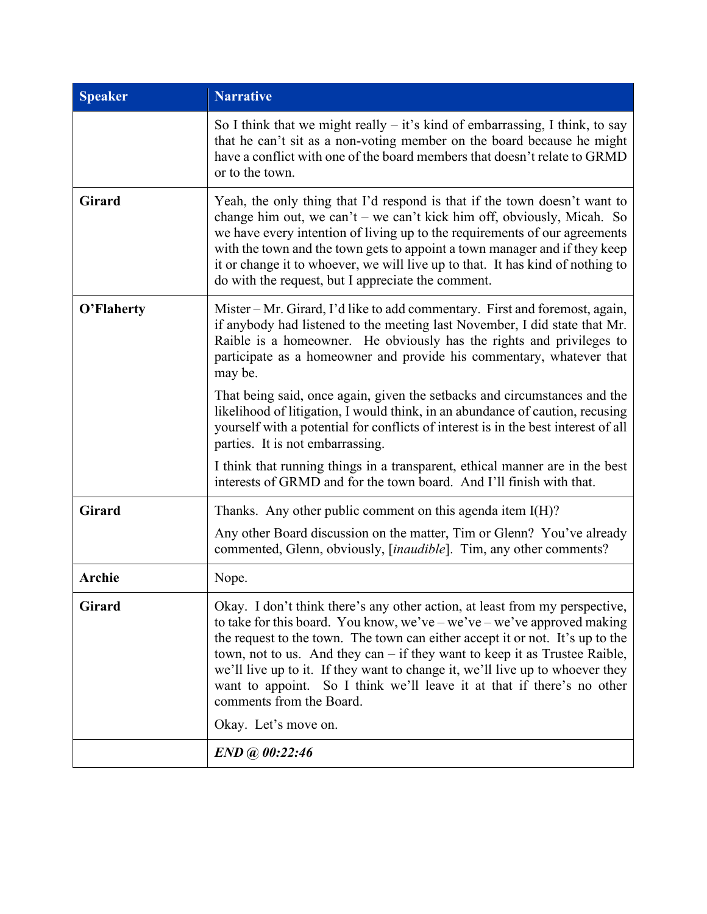| <b>Speaker</b> | <b>Narrative</b>                                                                                                                                                                                                                                                                                                                                                                                                                                                                                                                     |  |
|----------------|--------------------------------------------------------------------------------------------------------------------------------------------------------------------------------------------------------------------------------------------------------------------------------------------------------------------------------------------------------------------------------------------------------------------------------------------------------------------------------------------------------------------------------------|--|
|                | So I think that we might really $-$ it's kind of embarrassing, I think, to say<br>that he can't sit as a non-voting member on the board because he might<br>have a conflict with one of the board members that doesn't relate to GRMD<br>or to the town.                                                                                                                                                                                                                                                                             |  |
| <b>Girard</b>  | Yeah, the only thing that I'd respond is that if the town doesn't want to<br>change him out, we can't – we can't kick him off, obviously, Micah. So<br>we have every intention of living up to the requirements of our agreements<br>with the town and the town gets to appoint a town manager and if they keep<br>it or change it to whoever, we will live up to that. It has kind of nothing to<br>do with the request, but I appreciate the comment.                                                                              |  |
| O'Flaherty     | Mister – Mr. Girard, I'd like to add commentary. First and foremost, again,<br>if anybody had listened to the meeting last November, I did state that Mr.<br>Raible is a homeowner. He obviously has the rights and privileges to<br>participate as a homeowner and provide his commentary, whatever that<br>may be.                                                                                                                                                                                                                 |  |
|                | That being said, once again, given the setbacks and circumstances and the<br>likelihood of litigation, I would think, in an abundance of caution, recusing<br>yourself with a potential for conflicts of interest is in the best interest of all<br>parties. It is not embarrassing.                                                                                                                                                                                                                                                 |  |
|                | I think that running things in a transparent, ethical manner are in the best<br>interests of GRMD and for the town board. And I'll finish with that.                                                                                                                                                                                                                                                                                                                                                                                 |  |
| <b>Girard</b>  | Thanks. Any other public comment on this agenda item $I(H)$ ?                                                                                                                                                                                                                                                                                                                                                                                                                                                                        |  |
|                | Any other Board discussion on the matter, Tim or Glenn? You've already<br>commented, Glenn, obviously, [inaudible]. Tim, any other comments?                                                                                                                                                                                                                                                                                                                                                                                         |  |
| <b>Archie</b>  | Nope.                                                                                                                                                                                                                                                                                                                                                                                                                                                                                                                                |  |
| <b>Girard</b>  | Okay. I don't think there's any other action, at least from my perspective,<br>to take for this board. You know, we've – we've – we've approved making<br>the request to the town. The town can either accept it or not. It's up to the<br>town, not to us. And they can – if they want to keep it as Trustee Raible,<br>we'll live up to it. If they want to change it, we'll live up to whoever they<br>want to appoint. So I think we'll leave it at that if there's no other<br>comments from the Board.<br>Okay. Let's move on. |  |
|                | END @ 00:22:46                                                                                                                                                                                                                                                                                                                                                                                                                                                                                                                       |  |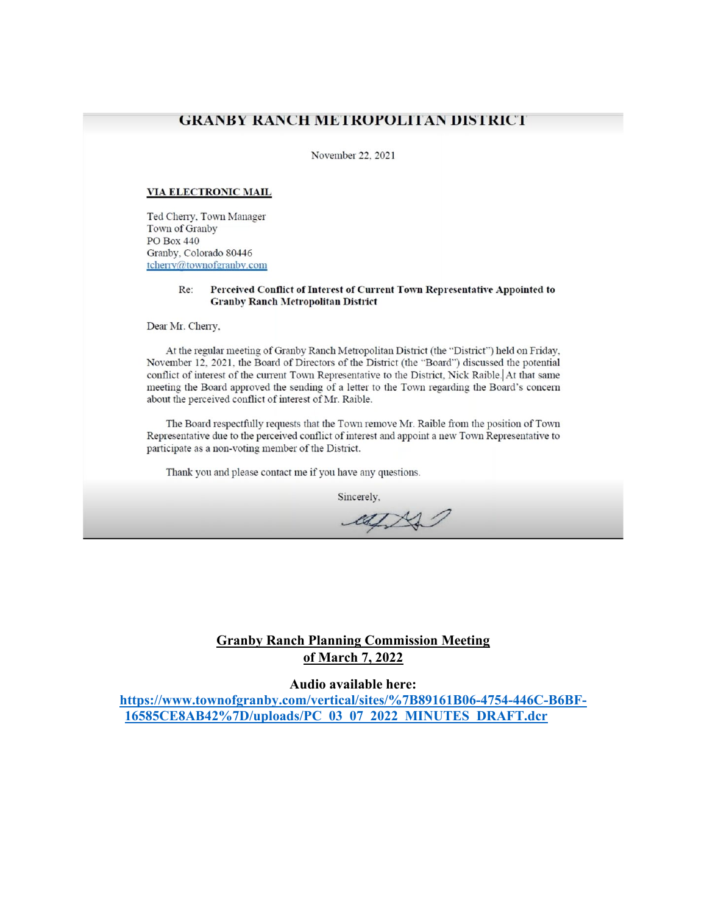#### **GRANBY RANCH METROPOLITAN DISTRICT**

November 22, 2021

#### **VIA ELECTRONIC MAIL**

Ted Cherry, Town Manager Town of Granby PO Box 440 Granby, Colorado 80446 tcherry@townofgranby.com

> Re: Perceived Conflict of Interest of Current Town Representative Appointed to **Granby Ranch Metropolitan District**

Dear Mr. Cherry,

At the regular meeting of Granby Ranch Metropolitan District (the "District") held on Friday, November 12, 2021, the Board of Directors of the District (the "Board") discussed the potential conflict of interest of the current Town Representative to the District, Nick Raible. At that same meeting the Board approved the sending of a letter to the Town regarding the Board's concern about the perceived conflict of interest of Mr. Raible.

The Board respectfully requests that the Town remove Mr. Raible from the position of Town Representative due to the perceived conflict of interest and appoint a new Town Representative to participate as a non-voting member of the District.

Thank you and please contact me if you have any questions.

Sincerely,

at N

## **Granby Ranch Planning Commission Meeting** of March 7, 2022

#### Audio available here:

https://www.townofgranby.com/vertical/sites/%7B89161B06-4754-446C-B6BF-16585CE8AB42%7D/uploads/PC 03 07 2022 MINUTES DRAFT.dcr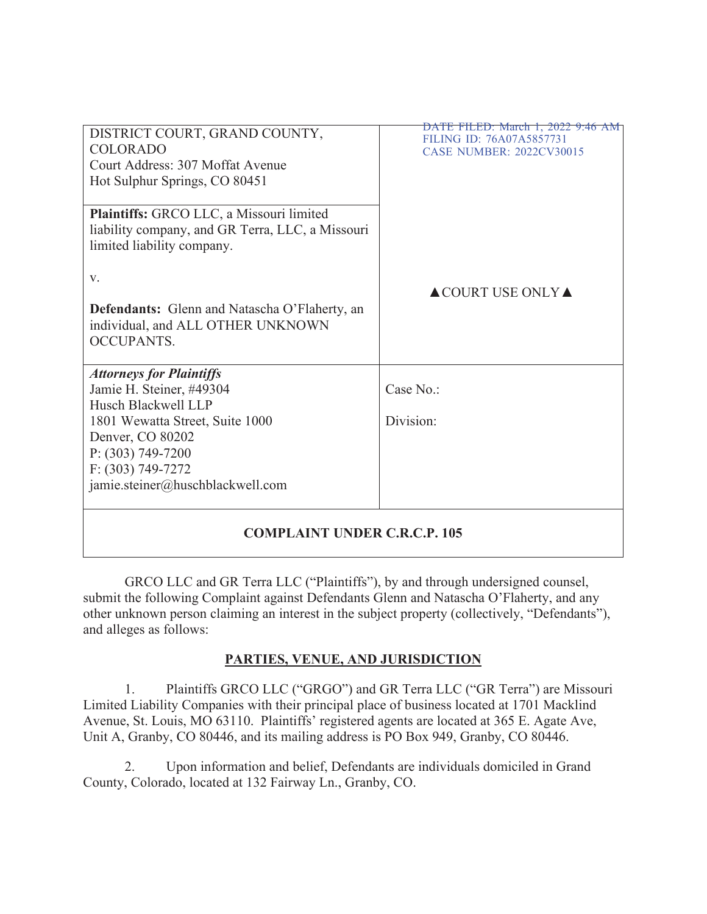| DISTRICT COURT, GRAND COUNTY,                                                             | DATE FILED: March 1, 2022 9:46 AM<br>FILING ID: 76A07A5857731 |
|-------------------------------------------------------------------------------------------|---------------------------------------------------------------|
| <b>COLORADO</b>                                                                           | <b>CASE NUMBER: 2022CV30015</b>                               |
| Court Address: 307 Moffat Avenue                                                          |                                                               |
| Hot Sulphur Springs, CO 80451                                                             |                                                               |
|                                                                                           |                                                               |
| Plaintiffs: GRCO LLC, a Missouri limited                                                  |                                                               |
| liability company, and GR Terra, LLC, a Missouri                                          |                                                               |
| limited liability company.                                                                |                                                               |
|                                                                                           |                                                               |
| V.                                                                                        |                                                               |
|                                                                                           | $\triangle$ COURT USE ONLY $\triangle$                        |
| <b>Defendants:</b> Glenn and Natascha O'Flaherty, an<br>individual, and ALL OTHER UNKNOWN |                                                               |
| <b>OCCUPANTS.</b>                                                                         |                                                               |
|                                                                                           |                                                               |
| <b>Attorneys for Plaintiffs</b>                                                           |                                                               |
| Jamie H. Steiner, #49304                                                                  | Case No.:                                                     |
| Husch Blackwell LLP                                                                       |                                                               |
| 1801 Wewatta Street, Suite 1000                                                           | Division:                                                     |
| Denver, CO 80202                                                                          |                                                               |
| $P: (303) 749 - 7200$                                                                     |                                                               |
| $F: (303) 749 - 7272$                                                                     |                                                               |
| jamie.steiner@huschblackwell.com                                                          |                                                               |
|                                                                                           |                                                               |
|                                                                                           |                                                               |
|                                                                                           |                                                               |

# **COMPLAINT UNDER C.R.C.P. 105**

GRCO LLC and GR Terra LLC ("Plaintiffs"), by and through undersigned counsel, submit the following Complaint against Defendants Glenn and Natascha O'Flaherty, and any other unknown person claiming an interest in the subject property (collectively, "Defendants"), and alleges as follows:

# PARTIES, VENUE, AND JURISDICTION

 $1.$ Plaintiffs GRCO LLC ("GRGO") and GR Terra LLC ("GR Terra") are Missouri Limited Liability Companies with their principal place of business located at 1701 Macklind Avenue, St. Louis, MO 63110. Plaintiffs' registered agents are located at 365 E. Agate Ave, Unit A, Granby, CO 80446, and its mailing address is PO Box 949, Granby, CO 80446.

2. Upon information and belief, Defendants are individuals domiciled in Grand County, Colorado, located at 132 Fairway Ln., Granby, CO.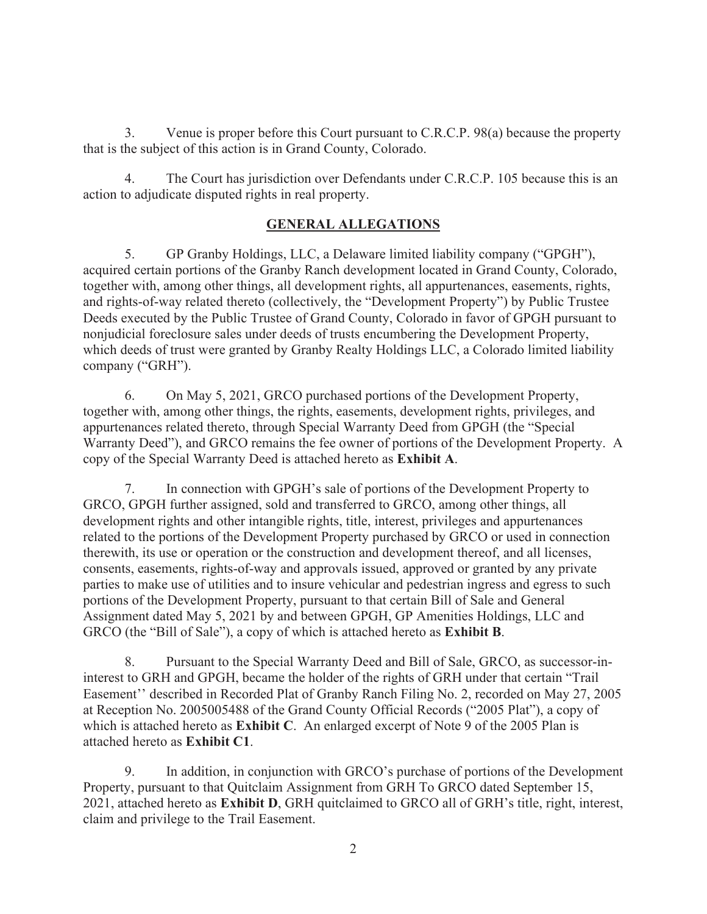Venue is proper before this Court pursuant to C.R.C.P. 98(a) because the property  $3.$ that is the subject of this action is in Grand County, Colorado.

4. The Court has jurisdiction over Defendants under C.R.C.P. 105 because this is an action to adjudicate disputed rights in real property.

## **GENERAL ALLEGATIONS**

5. GP Granby Holdings, LLC, a Delaware limited liability company ("GPGH"), acquired certain portions of the Granby Ranch development located in Grand County, Colorado, together with, among other things, all development rights, all appurtenances, easements, rights, and rights-of-way related thereto (collectively, the "Development Property") by Public Trustee Deeds executed by the Public Trustee of Grand County, Colorado in favor of GPGH pursuant to nonjudicial foreclosure sales under deeds of trusts encumbering the Development Property, which deeds of trust were granted by Granby Realty Holdings LLC, a Colorado limited liability company ("GRH").

6. On May 5, 2021, GRCO purchased portions of the Development Property, together with, among other things, the rights, easements, development rights, privileges, and appurtenances related thereto, through Special Warranty Deed from GPGH (the "Special Warranty Deed"), and GRCO remains the fee owner of portions of the Development Property. A copy of the Special Warranty Deed is attached hereto as Exhibit A.

In connection with GPGH's sale of portions of the Development Property to 7. GRCO, GPGH further assigned, sold and transferred to GRCO, among other things, all development rights and other intangible rights, title, interest, privileges and appurtenances related to the portions of the Development Property purchased by GRCO or used in connection therewith, its use or operation or the construction and development thereof, and all licenses, consents, easements, rights-of-way and approvals issued, approved or granted by any private parties to make use of utilities and to insure vehicular and pedestrian ingress and egress to such portions of the Development Property, pursuant to that certain Bill of Sale and General Assignment dated May 5, 2021 by and between GPGH, GP Amenities Holdings, LLC and GRCO (the "Bill of Sale"), a copy of which is attached hereto as Exhibit B.

8. Pursuant to the Special Warranty Deed and Bill of Sale, GRCO, as successor-ininterest to GRH and GPGH, became the holder of the rights of GRH under that certain "Trail Easement" described in Recorded Plat of Granby Ranch Filing No. 2, recorded on May 27, 2005 at Reception No. 2005005488 of the Grand County Official Records ("2005 Plat"), a copy of which is attached hereto as Exhibit C. An enlarged excerpt of Note 9 of the 2005 Plan is attached hereto as Exhibit C1.

In addition, in conjunction with GRCO's purchase of portions of the Development  $9<sub>1</sub>$ Property, pursuant to that Quitclaim Assignment from GRH To GRCO dated September 15, 2021, attached hereto as Exhibit D, GRH quitclaimed to GRCO all of GRH's title, right, interest, claim and privilege to the Trail Easement.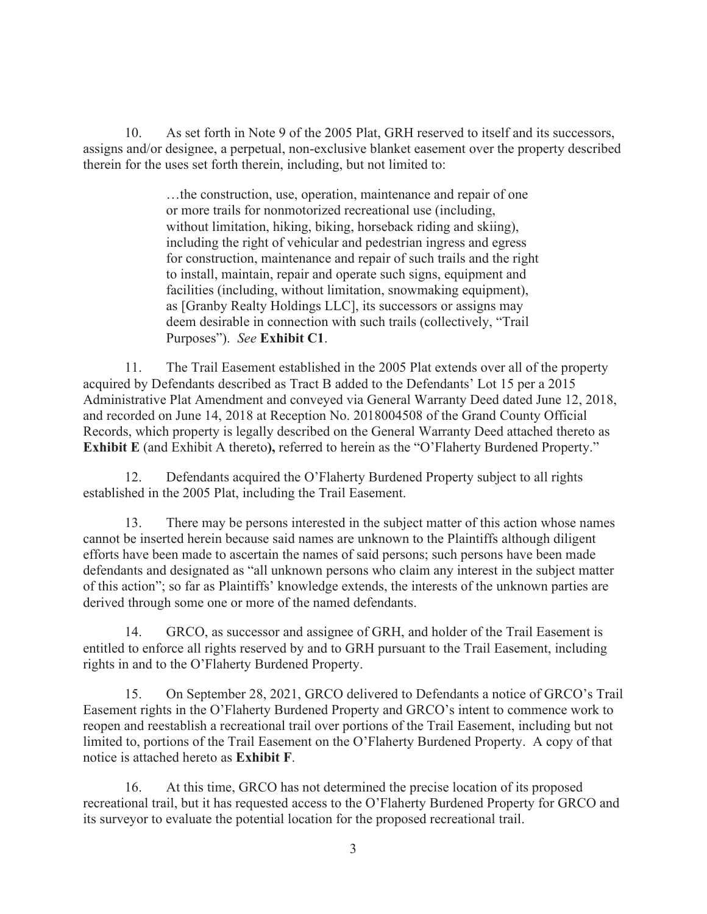As set forth in Note 9 of the 2005 Plat, GRH reserved to itself and its successors, 10. assigns and/or designee, a perpetual, non-exclusive blanket easement over the property described therein for the uses set forth therein, including, but not limited to:

> ...the construction, use, operation, maintenance and repair of one or more trails for nonmotorized recreational use (including, without limitation, hiking, biking, horseback riding and skiing), including the right of vehicular and pedestrian ingress and egress for construction, maintenance and repair of such trails and the right to install, maintain, repair and operate such signs, equipment and facilities (including, without limitation, snowmaking equipment), as [Granby Realty Holdings LLC], its successors or assigns may deem desirable in connection with such trails (collectively, "Trail Purposes"). See Exhibit C1.

11. The Trail Easement established in the 2005 Plat extends over all of the property acquired by Defendants described as Tract B added to the Defendants' Lot 15 per a 2015 Administrative Plat Amendment and conveyed via General Warranty Deed dated June 12, 2018, and recorded on June 14, 2018 at Reception No. 2018004508 of the Grand County Official Records, which property is legally described on the General Warranty Deed attached thereto as **Exhibit E** (and Exhibit A thereto), referred to herein as the "O'Flaherty Burdened Property."

Defendants acquired the O'Flaherty Burdened Property subject to all rights  $12.$ established in the 2005 Plat, including the Trail Easement.

 $13.$ There may be persons interested in the subject matter of this action whose names cannot be inserted herein because said names are unknown to the Plaintiffs although diligent efforts have been made to ascertain the names of said persons; such persons have been made defendants and designated as "all unknown persons who claim any interest in the subject matter of this action"; so far as Plaintiffs' knowledge extends, the interests of the unknown parties are derived through some one or more of the named defendants.

GRCO, as successor and assignee of GRH, and holder of the Trail Easement is 14. entitled to enforce all rights reserved by and to GRH pursuant to the Trail Easement, including rights in and to the O'Flaherty Burdened Property.

On September 28, 2021, GRCO delivered to Defendants a notice of GRCO's Trail 15. Easement rights in the O'Flaherty Burdened Property and GRCO's intent to commence work to reopen and reestablish a recreational trail over portions of the Trail Easement, including but not limited to, portions of the Trail Easement on the O'Flaherty Burdened Property. A copy of that notice is attached hereto as Exhibit F.

At this time, GRCO has not determined the precise location of its proposed 16. recreational trail, but it has requested access to the O'Flaherty Burdened Property for GRCO and its surveyor to evaluate the potential location for the proposed recreational trail.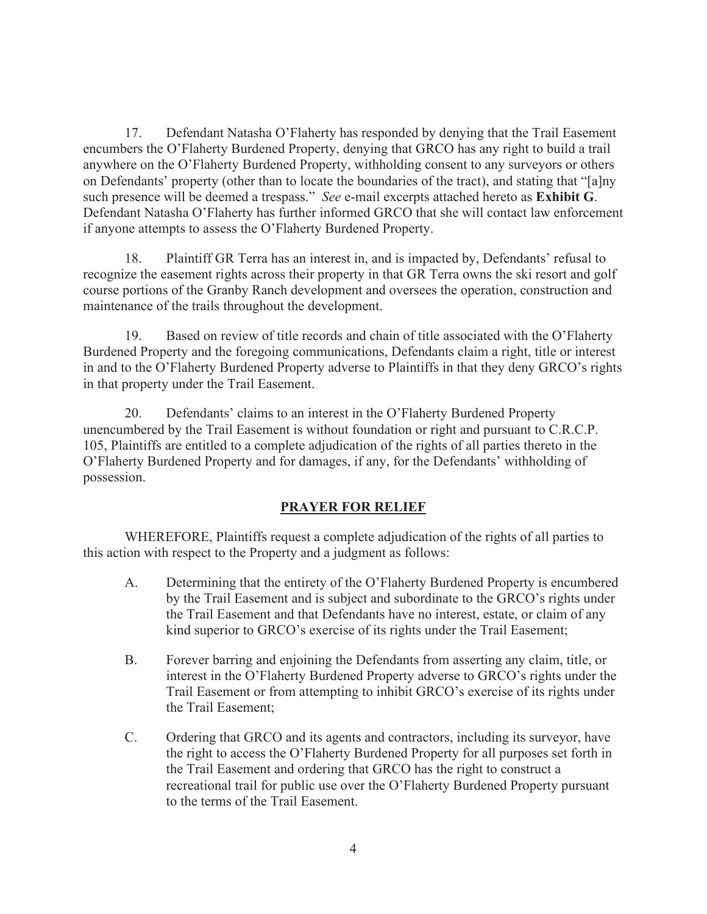17. Defendant Natasha O'Flaherty has responded by denying that the Trail Easement encumbers the O'Flaherty Burdened Property, denying that GRCO has any right to build a trail anywhere on the O'Flaherty Burdened Property, withholding consent to any surveyors or others on Defendants' property (other than to locate the boundaries of the tract), and stating that "[a]ny such presence will be deemed a trespass." *See* e-mail excerpts attached hereto as **Exhibit G**. Defendant Natasha O'Flaherty has further informed GRCO that she will contact law enforcement if anyone attempts to assess the O'Flaherty Burdened Property.

18. Plaint iff GR Terra has an interest in, and is impacted by, Defendants' refusal to recognize the easement rights across their property in that GR Terra owns the ski resort and golf course portions of the Granby Ranch development and oversees the operation, construction and maintenance of the trails throughout the development.

19. Based on review of title records and chain of title associated with the O'Flaherty Burdened Property and the foregoing communications, Defendants claim a right, title or interest in and to the O'Flaherty Burdened Property adverse to Plaintiffs in that they deny GRCO's rights in that property under the Trail Easement.

20. Defendants' claims to an interest in the O'Flaherty Burdened Property unencumbered by the Trail Easement is without foundation or right and pursuant to C.R.C.P. 105, Plaintiffs are entitled to a complete adjudication of the rights of all parties thereto in the O'Flaherty Burdened Property and for damages, if any, for the Defendants' withholding of possession.

### **PRAYER FOR RELIEF**

WHEREFORE, Plaintiffs request a complete adjudication of the rights of all parties to this action with respect to the Property and a judgment as follows:

- A. Determining that the entirety of the O'Flaherty Burdened Property is encumbered by the Trail Easement and is subject and subordinate to the GRCO's rights under the Trail Easement and that Defendants have no interest, estate, or claim of any kind superior to GRCO's exercise of its rights under the Trail Easement;
- B. Forever barring and enjoining the Defendants from asserting any claim, title, or interest in the O'Flaherty Burdened Property adverse to GRCO's rights under the Trail Easement or from attempting to inhibit GRCO's exercise of its rights under the Trail Easement;
- C. Ordering that GRCO and its agents and contractors, including its surveyor, have the right to access the O'Flaherty Burdened Property for all purposes set forth in the Trail Easement and ordering that GRCO has the right to construct a recreational trail for public use over the O'Flaherty Burdened Property pursuant to the terms of the Trail Easement.